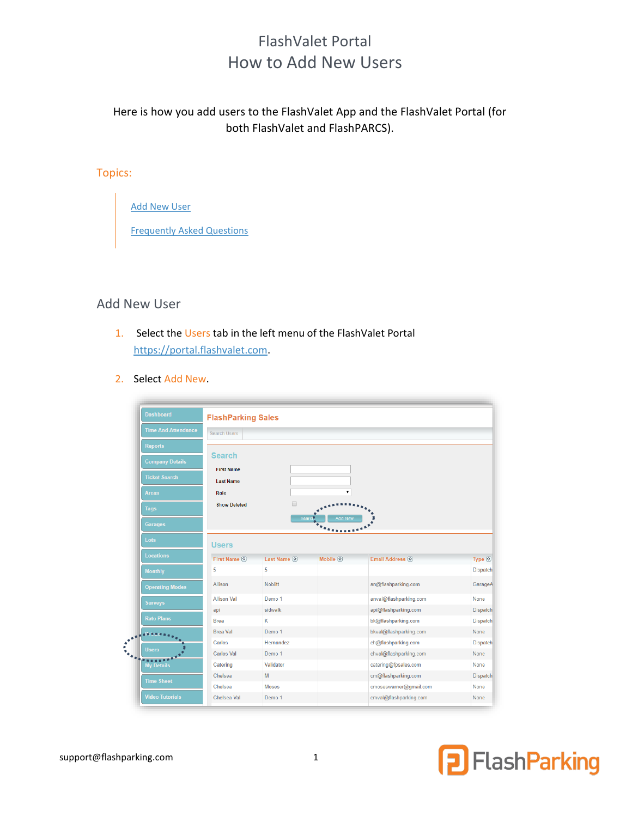# FlashValet Portal How to Add New Users

Here is how you add users to the FlashValet App and the FlashValet Portal (for both FlashValet and FlashPARCS).

#### Topics:

[Add New User](#page-0-0)

[Frequently Asked Questions](#page-2-0)

## <span id="page-0-0"></span>Add New User

- 1. Select the Users tab in the left menu of the FlashValet Portal [https://portal.flashvalet.com.](https://portal.flashvalet.com/)
- 2. Select Add New.

|                                                 | <b>FlashParking Sales</b>             |                   |                                               |                        |                                                                                                          |
|-------------------------------------------------|---------------------------------------|-------------------|-----------------------------------------------|------------------------|----------------------------------------------------------------------------------------------------------|
| <b>Time And Attendance</b>                      | <b>Search Users</b>                   |                   |                                               |                        |                                                                                                          |
| <b>Reports</b>                                  |                                       |                   |                                               |                        |                                                                                                          |
| <b>Company Details</b>                          | <b>Search</b>                         |                   |                                               |                        |                                                                                                          |
| <b>Ticket Search</b>                            | <b>First Name</b><br><b>Last Name</b> |                   |                                               |                        |                                                                                                          |
| <b>Areas</b>                                    | <b>Role</b>                           |                   |                                               |                        |                                                                                                          |
| <b>Tags</b>                                     | <b>Show Deleted</b>                   | □                 |                                               |                        |                                                                                                          |
| <b>Garages</b>                                  |                                       | Searc             | <b>Add New</b><br>$\ddot{\bullet}_{\text{A}}$ |                        |                                                                                                          |
| Lots                                            | <b>Users</b>                          |                   |                                               |                        |                                                                                                          |
| <b>Locations</b>                                | First Name (*)                        | Last Name (3)     | Mobile $\circledcirc$                         | Email Address (        | Type 2                                                                                                   |
| <b>Monthly</b>                                  | 5                                     | 5                 |                                               |                        | <b>Dispatch</b>                                                                                          |
|                                                 | Allison                               | <b>Noblitt</b>    |                                               | an@flashparking.com    | GarageA                                                                                                  |
|                                                 |                                       |                   |                                               |                        |                                                                                                          |
|                                                 | <b>Allison Val</b>                    | Demo <sub>1</sub> |                                               | anval@flashparking.com |                                                                                                          |
|                                                 | api                                   | sidwalk           |                                               | api@flashparking.com   |                                                                                                          |
| <b>Rate Plans</b>                               | <b>Brea</b>                           | K                 |                                               | bk@flashparking.com    |                                                                                                          |
|                                                 | <b>Brea Val</b>                       | Demo <sub>1</sub> |                                               | bkval@flashparking.com |                                                                                                          |
|                                                 | Carlos                                | Hernandez         |                                               | ch@flashparking.com    |                                                                                                          |
| <b>Surveys</b><br><b>Users</b>                  | <b>Carlos Val</b>                     | Demo <sub>1</sub> |                                               | chval@flashparking.com |                                                                                                          |
| <b>My Details</b>                               | Catering                              | Validator         |                                               | catering@fpsales.com   |                                                                                                          |
|                                                 | Chelsea                               | M                 |                                               | cm@flashparking.com    | None<br><b>Dispatch</b><br><b>Dispatch</b><br>None<br><b>Dispatch</b><br>None<br>None<br><b>Dispatch</b> |
| <b>Operating Modes</b><br><br><b>Time Sheet</b> | Chelsea                               | <b>Moses</b>      |                                               | cmoseswarner@gmail.com | None                                                                                                     |

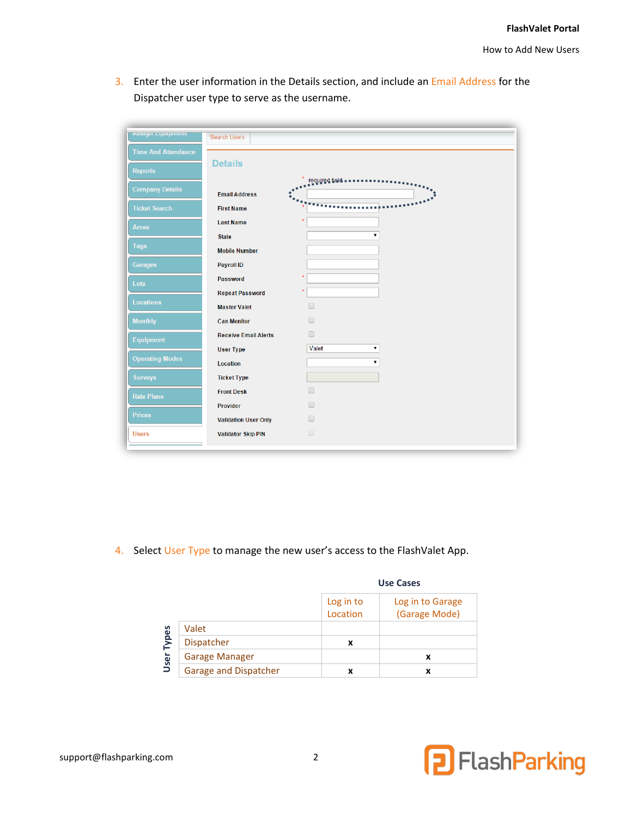3. Enter the user information in the Details section, and include an Email Address for the Dispatcher user type to serve as the username.

| <b>Assign Equipment</b>    |                             |                      |
|----------------------------|-----------------------------|----------------------|
|                            | Search Users                |                      |
| <b>Time And Attendance</b> |                             |                      |
| Reports                    | <b>Details</b>              |                      |
|                            |                             | required field.      |
| <b>Company Details</b>     | <b>Email Address</b>        |                      |
| <b>Ticket Search</b>       | <b>First Name</b>           |                      |
| <b>Areas</b>               | <b>Last Name</b>            |                      |
|                            | <b>State</b>                | ۷                    |
| <b>Tags</b>                | <b>Mobile Number</b>        |                      |
| <b>Garages</b>             | Payroll ID                  |                      |
| Lots                       | Password                    | x                    |
|                            | <b>Repeat Password</b>      | $\star$              |
| Locations                  | <b>Master Valet</b>         | $\Box$               |
| <b>Monthly</b>             | <b>Can Monitor</b>          | $\Box$               |
| Equipment                  | <b>Receive Email Alerts</b> | $\Box$               |
|                            | <b>User Type</b>            | Valet<br>۷           |
| <b>Operating Modes</b>     | Location                    | ۷                    |
| <b>Surveys</b>             | <b>Ticket Type</b>          |                      |
| <b>Rate Plans</b>          | <b>Front Desk</b>           | $\Box$               |
|                            | Provider                    | $\Box$               |
| <b>Prices</b>              | <b>Validation User Only</b> | $\Box$               |
| <b>Users</b>               | <b>Validator Skip PIN</b>   | $\qquad \qquad \Box$ |
|                            |                             |                      |

4. Select User Type to manage the new user's access to the FlashValet App.

|       |                       | <b>Use Cases</b>      |                                   |
|-------|-----------------------|-----------------------|-----------------------------------|
|       |                       | Log in to<br>Location | Log in to Garage<br>(Garage Mode) |
|       | Valet                 |                       |                                   |
| Types | <b>Dispatcher</b>     | x                     |                                   |
| User  | <b>Garage Manager</b> |                       | x                                 |
|       | Garage and Dispatcher | x                     | x                                 |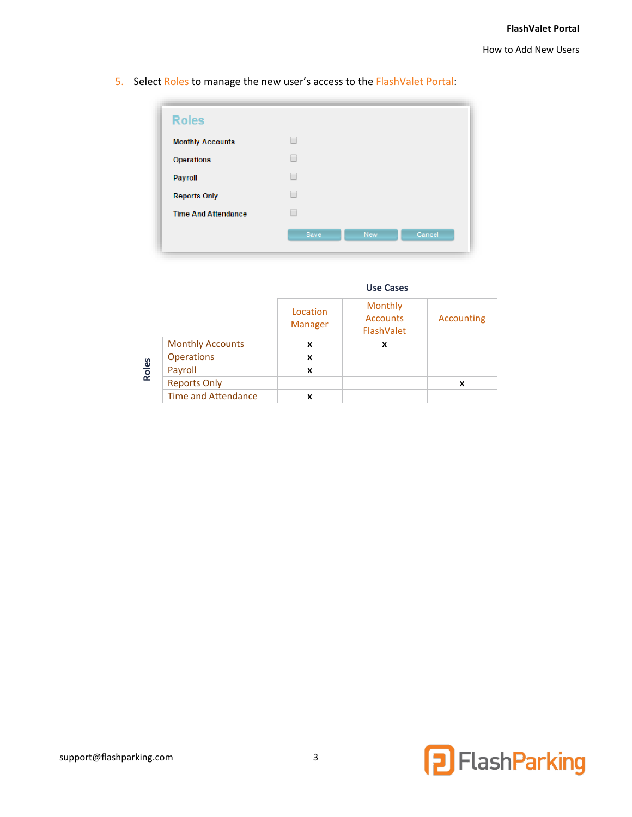5. Select Roles to manage the new user's access to the FlashValet Portal:

| <b>Roles</b>               |      |            |        |
|----------------------------|------|------------|--------|
| <b>Monthly Accounts</b>    | ۰    |            |        |
| <b>Operations</b>          | ۰    |            |        |
| Payroll                    | ۰    |            |        |
| <b>Reports Only</b>        | ۰    |            |        |
| <b>Time And Attendance</b> | ۰    |            |        |
|                            | Save | <b>New</b> | Cancel |
|                            |      |            |        |

| <b>Use Cases</b> |
|------------------|
|------------------|

|                            | Location<br><b>Manager</b> | Monthly<br><b>Accounts</b><br>FlashValet | Accounting |
|----------------------------|----------------------------|------------------------------------------|------------|
| <b>Monthly Accounts</b>    | x                          | x                                        |            |
| <b>Operations</b>          | x                          |                                          |            |
| Payroll                    | x                          |                                          |            |
| <b>Reports Only</b>        |                            |                                          |            |
| <b>Time and Attendance</b> | x                          |                                          |            |

**Roles**

<span id="page-2-0"></span>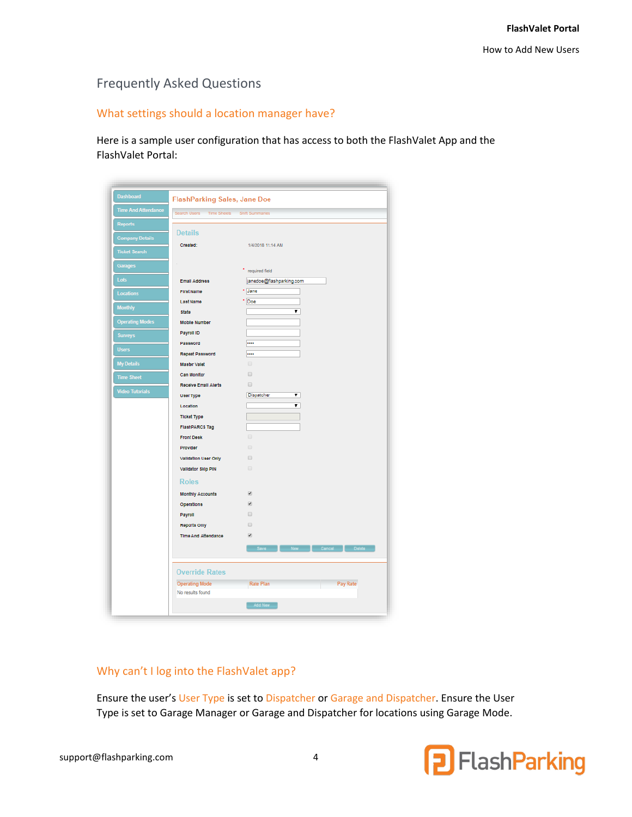# Frequently Asked Questions

## What settings should a location manager have?

Here is a sample user configuration that has access to both the FlashValet App and the FlashValet Portal:

| <b>Time And Attendance</b><br>Search Users<br><b>Reports</b><br><b>Details</b><br><b>Company Details</b><br>Created:<br><b>Ticket Search</b><br><b>Garages</b> | Time Sheets Shift Summaries<br>1/4/2018 11:14 AM |
|----------------------------------------------------------------------------------------------------------------------------------------------------------------|--------------------------------------------------|
|                                                                                                                                                                |                                                  |
|                                                                                                                                                                |                                                  |
|                                                                                                                                                                |                                                  |
|                                                                                                                                                                |                                                  |
|                                                                                                                                                                |                                                  |
|                                                                                                                                                                | required field                                   |
| Lots<br><b>Email Address</b>                                                                                                                                   | janedoe@flashparking.com                         |
| <b>First Name</b><br>Locations<br>Last Name                                                                                                                    | * Jane<br>* Doe                                  |
| <b>Monthly</b><br><b>State</b>                                                                                                                                 | ▼                                                |
| <b>Operating Modes</b><br><b>Mobile Number</b>                                                                                                                 |                                                  |
| Payroll ID                                                                                                                                                     |                                                  |
| <b>Surveys</b><br>Password                                                                                                                                     |                                                  |
| <b>Users</b><br>Repeat Password                                                                                                                                |                                                  |
| <b>My Details</b><br>Master Valet                                                                                                                              | $\Box$                                           |
| Can Monitor<br><b>Time Sheet</b>                                                                                                                               | $\qquad \qquad \Box$                             |
| Receive Email Alerts<br><b>Video Tutorials</b>                                                                                                                 | $\qquad \qquad \Box$                             |
| User Type                                                                                                                                                      | Dispatcher<br>▼                                  |
| Location                                                                                                                                                       | ▼                                                |
| <b>Ticket Type</b>                                                                                                                                             |                                                  |
| <b>FlashPARCS Tag</b>                                                                                                                                          |                                                  |
| <b>Front Desk</b>                                                                                                                                              | $\Box$<br>$\Box$                                 |
| Provider<br>Validation User Only                                                                                                                               | $\Box$                                           |
| Validator Skip PIN                                                                                                                                             | $\Box$                                           |
|                                                                                                                                                                |                                                  |
| <b>Roles</b>                                                                                                                                                   |                                                  |
| <b>Monthly Accounts</b>                                                                                                                                        | $\overline{\mathcal{L}}$                         |
| Operations                                                                                                                                                     | ø<br>$\Box$                                      |
| Payroll<br><b>Reports Only</b>                                                                                                                                 | $\Box$                                           |
| <b>Time And Attendance</b>                                                                                                                                     | ø                                                |
|                                                                                                                                                                | Cancel Delete<br>Save <b>Save</b><br>New 19      |
|                                                                                                                                                                |                                                  |
| <b>Override Rates</b>                                                                                                                                          |                                                  |
| <b>Operating Mode</b>                                                                                                                                          | Pay Rate<br><b>Rate Plan</b>                     |
| No results found                                                                                                                                               |                                                  |

#### Why can't I log into the FlashValet app?

Ensure the user's User Type is set to Dispatcher or Garage and Dispatcher. Ensure the User Type is set to Garage Manager or Garage and Dispatcher for locations using Garage Mode.